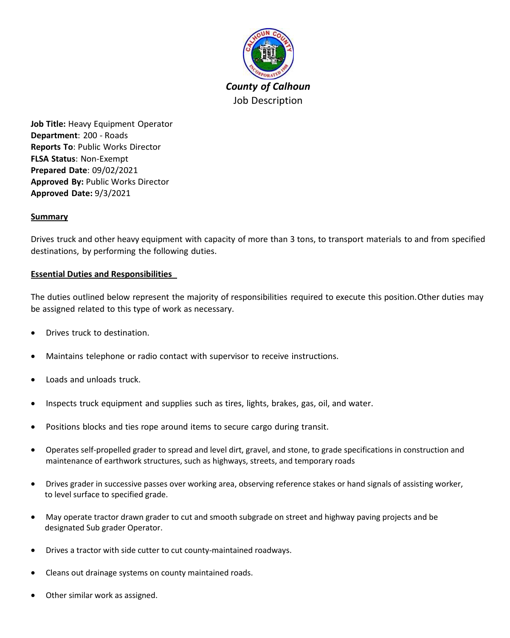

**Job Title:** Heavy Equipment Operator **Department**: 200 - Roads **Reports To**: Public Works Director **FLSA Status**: Non-Exempt **Prepared Date**: 09/02/2021 **Approved By:** Public Works Director **Approved Date:** 9/3/2021

# **Summary**

Drives truck and other heavy equipment with capacity of more than 3 tons, to transport materials to and from specified destinations, by performing the following duties.

#### **Essential Duties and Responsibilities**

The duties outlined below represent the majority of responsibilities required to execute this position.Other duties may be assigned related to this type of work as necessary.

- Drives truck to destination.
- Maintains telephone or radio contact with supervisor to receive instructions.
- Loads and unloads truck.
- Inspects truck equipment and supplies such as tires, lights, brakes, gas, oil, and water.
- Positions blocks and ties rope around items to secure cargo during transit.
- Operates self-propelled grader to spread and level dirt, gravel, and stone, to grade specifications in construction and maintenance of earthwork structures, such as highways, streets, and temporary roads
- Drives grader in successive passes over working area, observing reference stakes or hand signals of assisting worker, to level surface to specified grade.
- May operate tractor drawn grader to cut and smooth subgrade on street and highway paving projects and be designated Sub grader Operator.
- Drives a tractor with side cutter to cut county-maintained roadways.
- Cleans out drainage systems on county maintained roads.
- Other similar work as assigned.